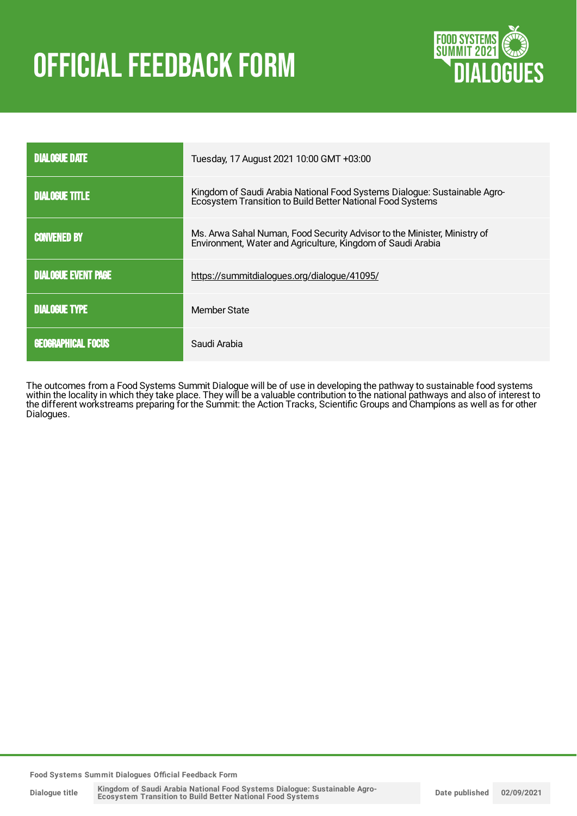# **OFFICIAL FEEDBACK FORM**



| <b>DIALOGUE DATE</b>       | Tuesday, 17 August 2021 10:00 GMT +03:00                                                                                                |
|----------------------------|-----------------------------------------------------------------------------------------------------------------------------------------|
| <b>DIALOGUE TITLE</b>      | Kingdom of Saudi Arabia National Food Systems Dialogue: Sustainable Agro-<br>Ecosystem Transition to Build Better National Food Systems |
| <b>CONVENED BY</b>         | Ms. Arwa Sahal Numan, Food Security Advisor to the Minister, Ministry of<br>Environment, Water and Agriculture, Kingdom of Saudi Arabia |
| <b>DIALOGUE EVENT PAGE</b> | https://summitdialogues.org/dialogue/41095/                                                                                             |
| <b>DIALOGUE TYPE</b>       | Member State                                                                                                                            |
| <b>GEOGRAPHICAL FOCUS</b>  | Saudi Arabia                                                                                                                            |

The outcomes from a Food Systems Summit Dialogue will be of use in developing the pathway to sustainable food systems within the locality in which they take place. They will be a valuable contribution to the national pathways and also of interest to the different workstreams preparing for the Summit: the Action Tracks, Scientific Groups and Champions as well as for other Dialogues.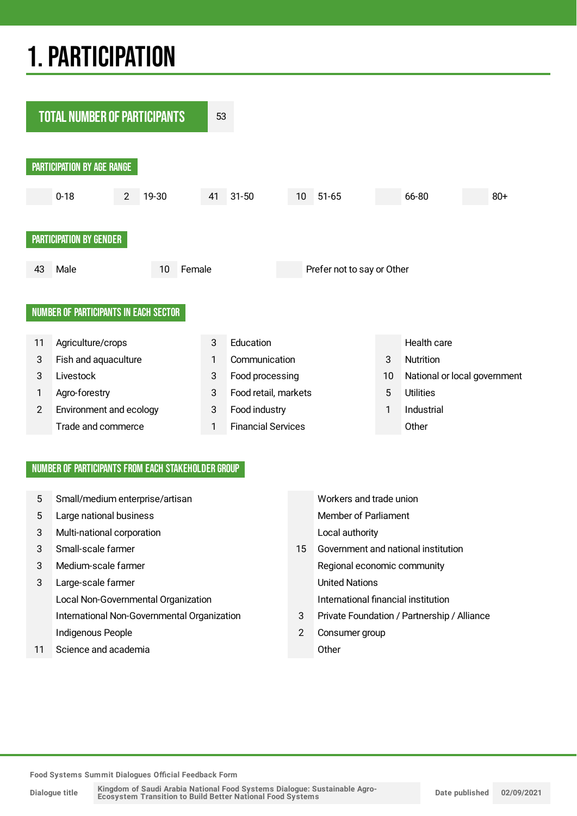## 1.PARTICIPATION



#### NUMBER OF PARTICIPANTS FROM EACH STAKEHOLDER GROUP

| 5 | Small/medium enterprise/artisan             |                | Workers and trade union                     |
|---|---------------------------------------------|----------------|---------------------------------------------|
| 5 | Large national business                     |                | Member of Parliament                        |
| 3 | Multi-national corporation                  |                | Local authority                             |
| 3 | Small-scale farmer                          | 15             | Government and national institution         |
| 3 | Medium-scale farmer                         |                | Regional economic community                 |
| 3 | Large-scale farmer                          |                | <b>United Nations</b>                       |
|   | Local Non-Governmental Organization         |                | International financial institution         |
|   | International Non-Governmental Organization | 3              | Private Foundation / Partnership / Alliance |
|   | Indigenous People                           | $\overline{2}$ | Consumer group                              |
|   | Science and academia                        |                | Other                                       |
|   |                                             |                |                                             |

**Food Systems Summit Dialogues Official Feedback Form**

**Dialogue title**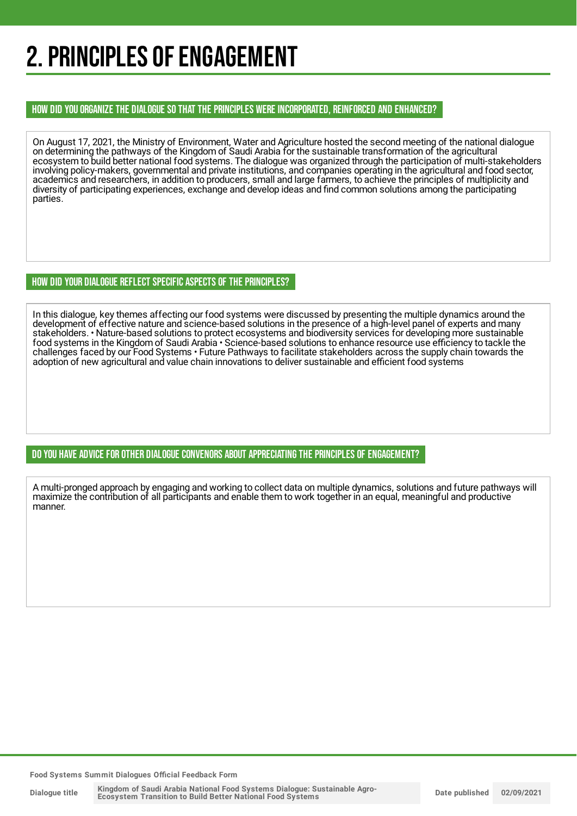## 2. PRINCIPLES OF ENGAGEMENT

HOW DID YOU ORGANIZE THE DIALOGUE SO THAT THE PRINCIPLES WERE INCORPORATED, REINFORCED AND ENHANCED?

On August 17, 2021, the Ministry of Environment, Water and Agriculture hosted the second meeting of the national dialogue on determining the pathways of the Kingdom of Saudi Arabia for the sustainable transformation of the agricultural ecosystem to build better national food systems. The dialogue was organized through the participation of multi-stakeholders involving policy-makers, governmental and private institutions, and companies operating in the agricultural and food sector, academics and researchers, in addition to producers, small and large farmers, to achieve the principles of multiplicity and diversity of participating experiences, exchange and develop ideas and find common solutions among the participating parties.

#### HOW DID YOUR DIALOGUE REFLECT SPECIFIC ASPECTS OF THE PRINCIPLES?

In this dialogue, key themes affecting our food systems were discussed by presenting the multiple dynamics around the development of effective nature and science-based solutions in the presence of a high-level panel of experts and many stakeholders. • Nature-based solutions to protect ecosystems and biodiversity services for developing more sustainable food systems in the Kingdom of Saudi Arabia • Science-based solutions to enhance resource use efficiency to tackle the challenges faced by our Food Systems • Future Pathways to facilitate stakeholders across the supply chain towards the adoption of new agricultural and value chain innovations to deliver sustainable and efficient food systems

DO YOU HAVE ADVICE FOR OTHER DIALOGUE CONVENORS ABOUT APPRECIATINGTHE PRINCIPLES OF ENGAGEMENT?

A multi-pronged approach by engaging and working to collect data on multiple dynamics, solutions and future pathways will maximize the contribution of all participants and enable them to work together in an equal, meaningful and productive manner.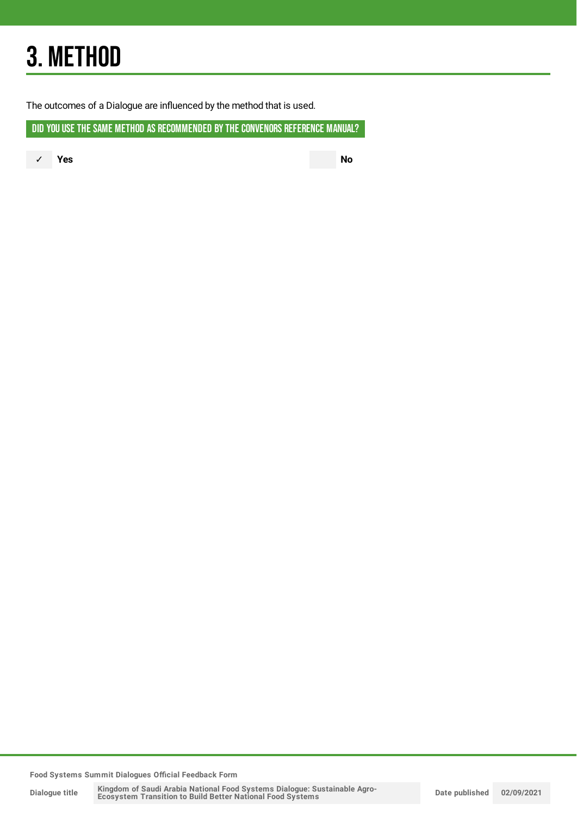## 3. METHOD

The outcomes of a Dialogue are influenced by the method that is used.

DID YOU USE THE SAME METHOD AS RECOMMENDED BY THE CONVENORS REFERENCE MANUAL?

✓ **Yes No**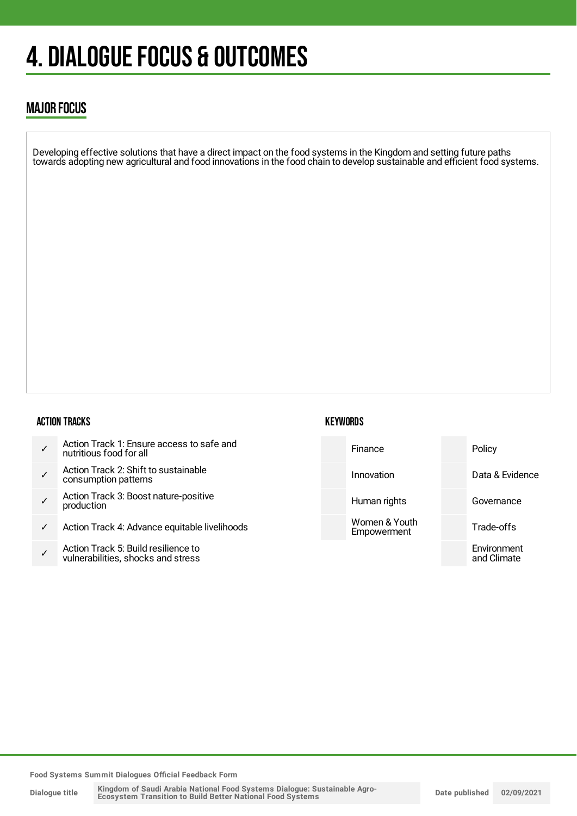## **4. DIALOGUE FOCUS & OUTCOMES**

### MAJOR FOCUS

Developing effective solutions that have a direct impact on the food systems in the Kingdom and setting future paths towards adopting new agricultural and food innovations in the food chain to develop sustainable and efficient food systems.

#### ACTION TRACKS

- ✓ Action Track 1: Ensure access to safe and nutritious food for all
- ✓ Action Track 2: Shift to sustainable consumption patterns
- ✓ Action Track 3: Boost nature-positive production
- ✓ Action Track 4: Advance equitable livelihoods
- ✓ Action Track 5: Build resilience to vulnerabilities, shocks and stress

#### **KEYWORDS**



**Food Systems Summit Dialogues Official Feedback Form**

**Dialogue title**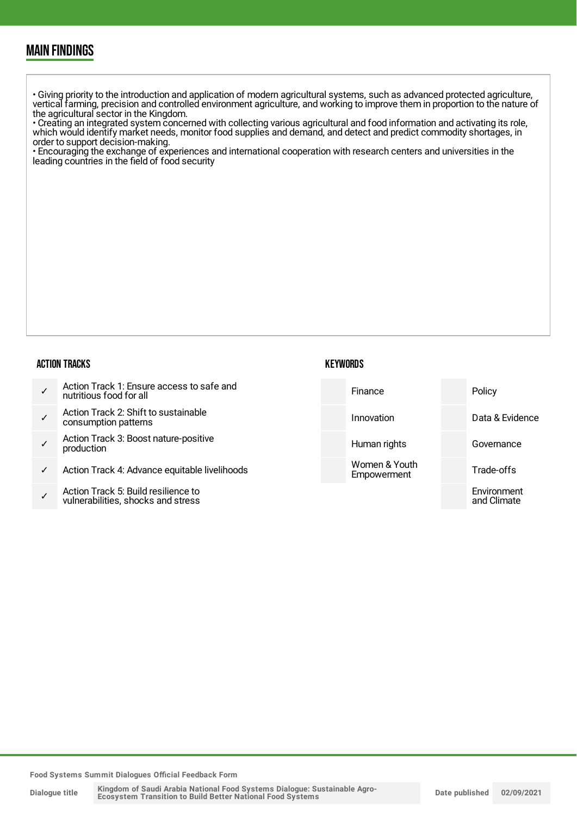### MAIN FINDINGS

• Giving priority to the introduction and application of modern agricultural systems, such as advanced protected agriculture, vertical farming, precision and controlled environment agriculture, and working to improve them in proportion to the nature of the agricultural sector in the Kingdom.

• Creating an integrated system concerned with collecting various agricultural and food information and activating its role, which would identify market needs, monitor food supplies and demand, and detect and predict commodity shortages, in order to support decision-making.

• Encouraging the exchange of experiences and international cooperation with research centers and universities in the leading countries in the field of food security

#### ACTION TRACKS

|  | Action Track 1: Ensure access to safe and<br>nutritious food for all |
|--|----------------------------------------------------------------------|
|--|----------------------------------------------------------------------|

- ✓ **Action T** consum
- ✓ Action T producti
- Action T
- ✓ Action T vulnerab



| Frack 1: Ensure access to safe and<br>ıs food for all       | Finance                      | Policy                     |
|-------------------------------------------------------------|------------------------------|----------------------------|
| Frack 2: Shift to sustainable<br>ption patterns             | Innovation                   | Data & Evidence            |
| Frack 3: Boost nature-positive<br>ion                       | Human rights                 | Governance                 |
| Frack 4: Advance equitable livelihoods                      | Women & Youth<br>Empowerment | Trade-offs                 |
| Frack 5: Build resilience to<br>pilities, shocks and stress |                              | Environment<br>and Climate |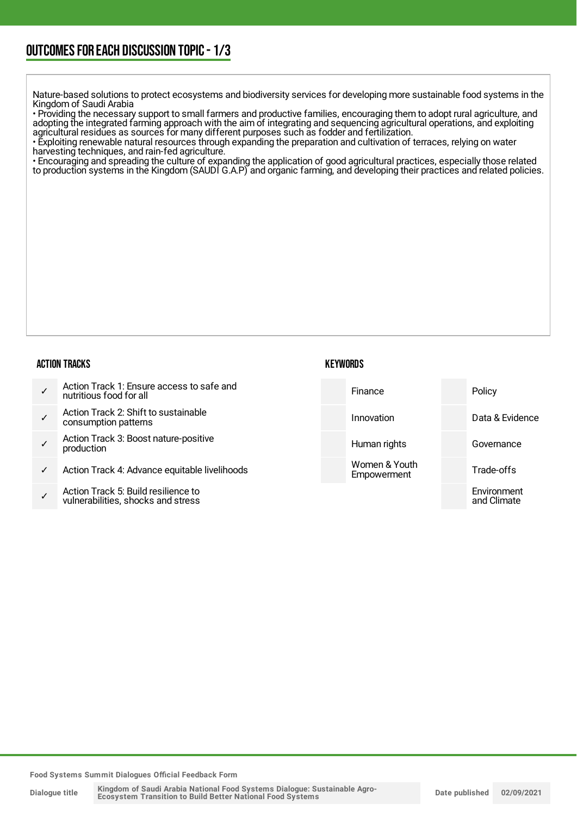Nature-based solutions to protect ecosystems and biodiversity services for developing more sustainable food systems in the Kingdom of Saudi Arabia

• Providing the necessary support to small farmers and productive families, encouraging them to adopt rural agriculture, and adopting the integrated farming approach with the aim of integrating and sequencing agricultural operations, and exploiting agricultural residues as sources for many different purposes such as fodder and fertilization.

• Exploiting renewable natural resources through expanding the preparation and cultivation of terraces, relying on water harvesting techniques, and rain-fed agriculture.

• Encouraging and spreading the culture of expanding the application of good agricultural practices, especially those related to production systems in the Kingdom (SAUDI G.A.P) and organic farming, and developing their practices and related policies.

#### ACTION TRACKS

| Action Track 1: Ensure access to safe and<br>nutritious food for all |
|----------------------------------------------------------------------|
|----------------------------------------------------------------------|

- ✓ Action Track 2: Shift to sustainable consumption patterns
- ✓ Action Track 3: Boost nature-positive production
- Action Track 4: Advance equitable livelihoods
- ✓ Action Track 5: Build resilience to vulnerabilities, shocks and stress

**KEYWORDS** 

Finance Policy Innovation Data & Evidence Human rights **Governance** Women & Youth **Empowerment** Trade-offs Environment and Climate

**Food Systems Summit Dialogues Official Feedback Form**

**Dialogue title**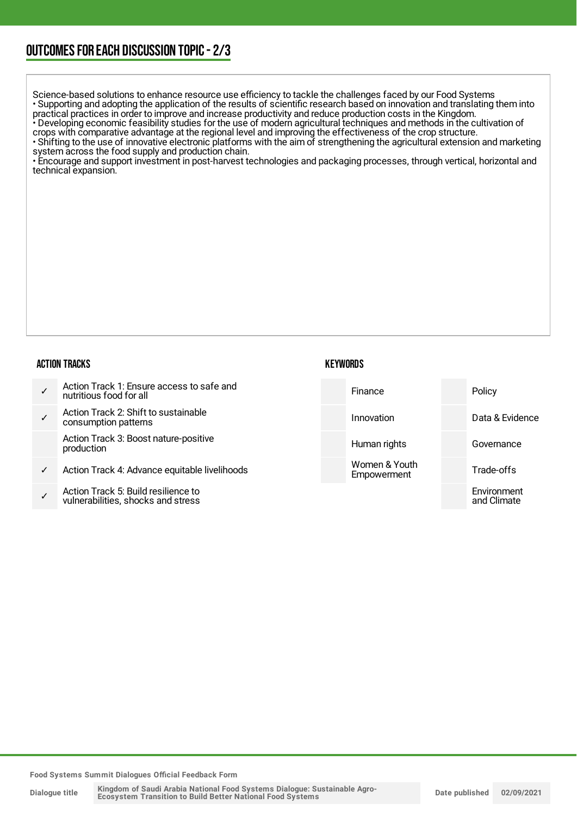### OUTCOMESFOR EACH DISCUSSION TOPIC- 2/3

Science-based solutions to enhance resource use efficiency to tackle the challenges faced by our Food Systems • Supporting and adopting the application of the results of scientific research based on innovation and translating them into practical practices in order to improve and increase productivity and reduce production costs in the Kingdom.

• Developing economic feasibility studies for the use of modern agricultural techniques and methods in the cultivation of crops with comparative advantage at the regional level and improving the effectiveness of the crop structure.

• Shifting to the use of innovative electronic platforms with the aim of strengthening the agricultural extension and marketing system across the food supply and production chain.

• Encourage and support investment in post-harvest technologies and packaging processes, through vertical, horizontal and technical expansion.

#### ACTION TRACKS

| Action Track 1: Ensure access to safe and<br>nutritious food for all |
|----------------------------------------------------------------------|
|                                                                      |

- ✓ Action Tra consumpti
	- Action Tra production
- Action Tra
- ✓ Action Tra vulnerabilit



| ck 1: Ensure access to safe and<br>food for all      | Finance                      | Policy                     |
|------------------------------------------------------|------------------------------|----------------------------|
| ck 2: Shift to sustainable<br>ion patterns           | Innovation                   | Data & Evidence            |
| ck 3: Boost nature-positive                          | Human rights                 | Governance                 |
| ck 4: Advance equitable livelihoods                  | Women & Youth<br>Empowerment | Trade-offs                 |
| ck 5: Build resilience to<br>ties, shocks and stress |                              | Environment<br>and Climate |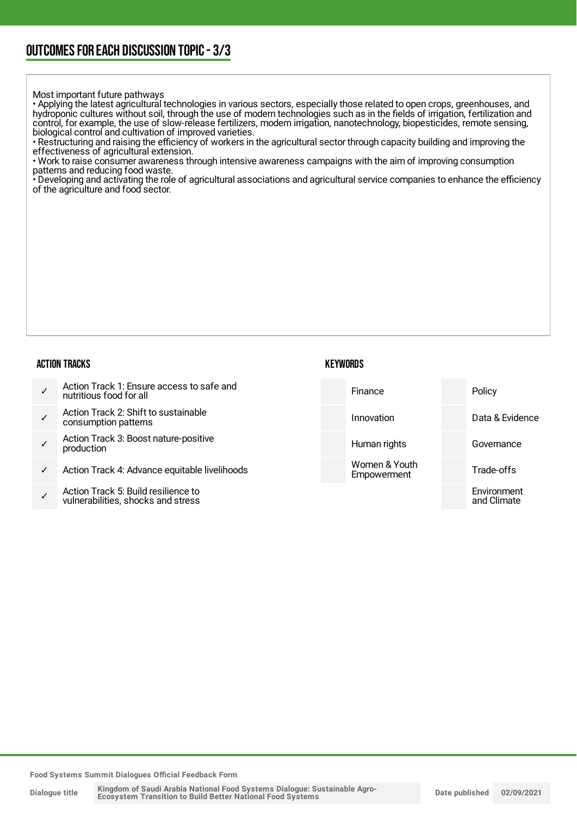Most important future pathways

• Applying the latest agricultural technologies in various sectors, especially those related to open crops, greenhouses, and hydroponic cultures without soil, through the use of modern technologies such as in the fields of irrigation, fertilization and control, for example, the use of slow-release fertilizers, modern irrigation, nanotechnology, biopesticides, remote sensing, biological control and cultivation of improved varieties.

• Restructuring and raising the efficiency of workers in the agricultural sector through capacity building and improving the effectiveness of agricultural extension.

• Work to raise consumer awareness through intensive awareness campaigns with the aim of improving consumption patterns and reducing food waste.

• Developing and activating the role of agricultural associations and agricultural service companies to enhance the efficiency of the agriculture and food sector.

#### ACTION TRACKS

|   | Action Track 1: Ensure access to safe and<br>nutritious food for all      | Finance                      | Policy                     |
|---|---------------------------------------------------------------------------|------------------------------|----------------------------|
|   | Action Track 2: Shift to sustainable<br>consumption patterns              | Innovation                   | Data & Evidence            |
|   | Action Track 3: Boost nature-positive<br>production                       | Human rights                 | Governance                 |
| ✓ | Action Track 4: Advance equitable livelihoods                             | Women & Youth<br>Empowerment | Trade-offs                 |
|   | Action Track 5: Build resilience to<br>vulnerabilities, shocks and stress |                              | Environment<br>and Climate |